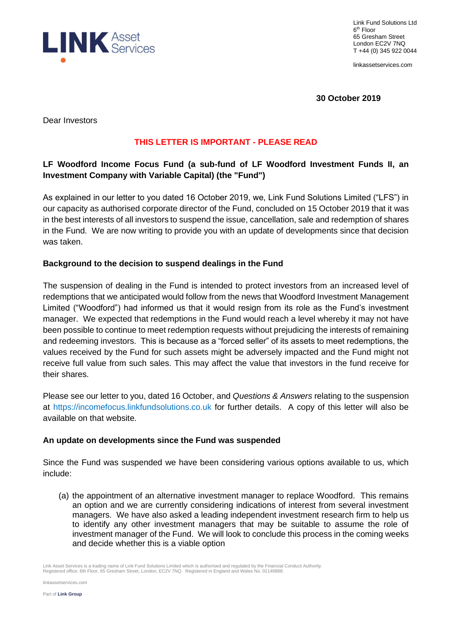

Link Fund Solutions Ltd 6 th Floor 65 Gresham Street London EC2V 7NQ T +44 (0) 345 922 0044

linkassetservices.com

**30 October 2019**

Dear Investors

## **THIS LETTER IS IMPORTANT - PLEASE READ**

# **LF Woodford Income Focus Fund (a sub-fund of LF Woodford Investment Funds II, an Investment Company with Variable Capital) (the "Fund")**

As explained in our letter to you dated 16 October 2019, we, Link Fund Solutions Limited ("LFS") in our capacity as authorised corporate director of the Fund, concluded on 15 October 2019 that it was in the best interests of all investors to suspend the issue, cancellation, sale and redemption of shares in the Fund. We are now writing to provide you with an update of developments since that decision was taken.

### **Background to the decision to suspend dealings in the Fund**

The suspension of dealing in the Fund is intended to protect investors from an increased level of redemptions that we anticipated would follow from the news that Woodford Investment Management Limited ("Woodford") had informed us that it would resign from its role as the Fund's investment manager. We expected that redemptions in the Fund would reach a level whereby it may not have been possible to continue to meet redemption requests without prejudicing the interests of remaining and redeeming investors. This is because as a "forced seller" of its assets to meet redemptions, the values received by the Fund for such assets might be adversely impacted and the Fund might not receive full value from such sales. This may affect the value that investors in the fund receive for their shares.

Please see our letter to you, dated 16 October, and *Questions & Answers* relating to the suspension at [https://incomefocus.linkfundsolutions.co.uk](https://incomefocus.linkfundsolutions.co.uk/) for further details. A copy of this letter will also be available on that website.

#### **An update on developments since the Fund was suspended**

Since the Fund was suspended we have been considering various options available to us, which include:

(a) the appointment of an alternative investment manager to replace Woodford. This remains an option and we are currently considering indications of interest from several investment managers. We have also asked a leading independent investment research firm to help us to identify any other investment managers that may be suitable to assume the role of investment manager of the Fund. We will look to conclude this process in the coming weeks and decide whether this is a viable option

Link Asset Services is a trading name of Link Fund Solutions Limited which is authorised and regulated by the Financial Conduct Authority.<br>Registered office: 6th Floor, 65 Gresham Street, London, EC2V 7NQ. Registered in En

linkassetservices.com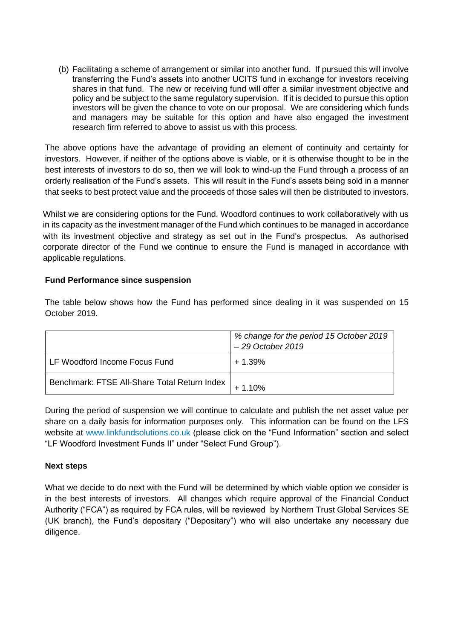(b) Facilitating a scheme of arrangement or similar into another fund. If pursued this will involve transferring the Fund's assets into another UCITS fund in exchange for investors receiving shares in that fund. The new or receiving fund will offer a similar investment objective and policy and be subject to the same regulatory supervision. If it is decided to pursue this option investors will be given the chance to vote on our proposal. We are considering which funds and managers may be suitable for this option and have also engaged the investment research firm referred to above to assist us with this process.

The above options have the advantage of providing an element of continuity and certainty for investors. However, if neither of the options above is viable, or it is otherwise thought to be in the best interests of investors to do so, then we will look to wind-up the Fund through a process of an orderly realisation of the Fund's assets. This will result in the Fund's assets being sold in a manner that seeks to best protect value and the proceeds of those sales will then be distributed to investors.

Whilst we are considering options for the Fund, Woodford continues to work collaboratively with us in its capacity as the investment manager of the Fund which continues to be managed in accordance with its investment objective and strategy as set out in the Fund's prospectus. As authorised corporate director of the Fund we continue to ensure the Fund is managed in accordance with applicable regulations.

## **Fund Performance since suspension**

The table below shows how the Fund has performed since dealing in it was suspended on 15 October 2019.

|                                              | % change for the period 15 October 2019<br>- 29 October 2019 |
|----------------------------------------------|--------------------------------------------------------------|
| LF Woodford Income Focus Fund                | $+1.39%$                                                     |
| Benchmark: FTSE All-Share Total Return Index | $+1.10%$                                                     |

During the period of suspension we will continue to calculate and publish the net asset value per share on a daily basis for information purposes only. This information can be found on the LFS website at www.linkfundsolutions.co.uk (please click on the "Fund Information" section and select "LF Woodford Investment Funds II" under "Select Fund Group").

### **Next steps**

What we decide to do next with the Fund will be determined by which viable option we consider is in the best interests of investors. All changes which require approval of the Financial Conduct Authority ("FCA") as required by FCA rules, will be reviewed by Northern Trust Global Services SE (UK branch), the Fund's depositary ("Depositary") who will also undertake any necessary due diligence.